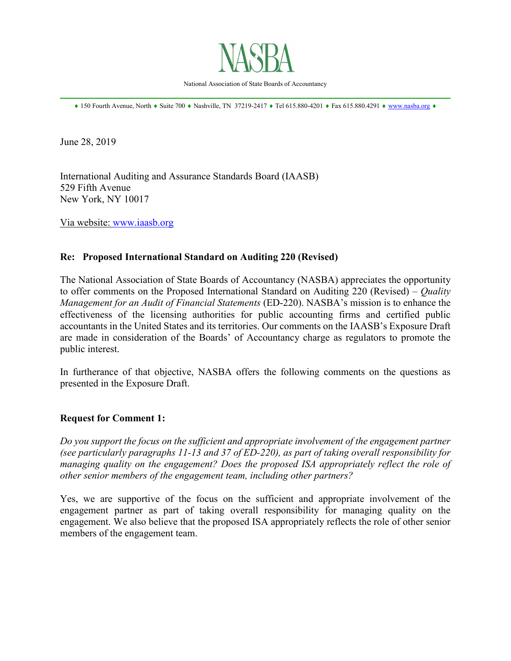

National Association of State Boards of Accountancy \_\_\_\_\_\_\_\_\_\_\_\_\_\_\_\_\_\_\_\_\_\_\_\_\_\_\_\_\_\_\_\_\_\_\_\_\_\_\_\_\_\_\_\_\_\_\_\_\_\_\_\_\_\_\_\_\_\_\_\_\_\_\_\_\_\_\_\_\_\_\_\_\_\_\_\_\_\_

♦ 150 Fourth Avenue, North ♦ Suite 700 ♦ Nashville, TN 37219-2417 ♦ Tel 615.880-4201 ♦ Fax 615.880.4291 ♦ [www.nasba.org](http://www.nasba.org/) ♦

June 28, 2019

International Auditing and Assurance Standards Board (IAASB) 529 Fifth Avenue New York, NY 10017

Via website: [www.iaasb.org](http://www.iaasb.org/)

# **Re: Proposed International Standard on Auditing 220 (Revised)**

The National Association of State Boards of Accountancy (NASBA) appreciates the opportunity to offer comments on the Proposed International Standard on Auditing 220 (Revised) – *Quality Management for an Audit of Financial Statements* (ED-220). NASBA's mission is to enhance the effectiveness of the licensing authorities for public accounting firms and certified public accountants in the United States and its territories. Our comments on the IAASB's Exposure Draft are made in consideration of the Boards' of Accountancy charge as regulators to promote the public interest.

In furtherance of that objective, NASBA offers the following comments on the questions as presented in the Exposure Draft.

### **Request for Comment 1:**

*Do you support the focus on the sufficient and appropriate involvement of the engagement partner (see particularly paragraphs 11-13 and 37 of ED-220), as part of taking overall responsibility for managing quality on the engagement? Does the proposed ISA appropriately reflect the role of other senior members of the engagement team, including other partners?*

Yes, we are supportive of the focus on the sufficient and appropriate involvement of the engagement partner as part of taking overall responsibility for managing quality on the engagement. We also believe that the proposed ISA appropriately reflects the role of other senior members of the engagement team.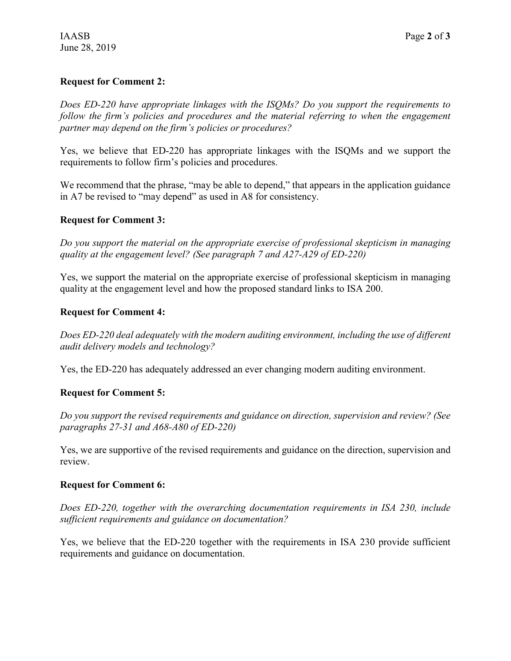# **Request for Comment 2:**

*Does ED-220 have appropriate linkages with the ISQMs? Do you support the requirements to*  follow the firm's policies and procedures and the material referring to when the engagement *partner may depend on the firm's policies or procedures?*

Yes, we believe that ED-220 has appropriate linkages with the ISQMs and we support the requirements to follow firm's policies and procedures.

We recommend that the phrase, "may be able to depend," that appears in the application guidance in A7 be revised to "may depend" as used in A8 for consistency.

## **Request for Comment 3:**

*Do you support the material on the appropriate exercise of professional skepticism in managing quality at the engagement level? (See paragraph 7 and A27-A29 of ED-220)*

Yes, we support the material on the appropriate exercise of professional skepticism in managing quality at the engagement level and how the proposed standard links to ISA 200.

## **Request for Comment 4:**

*Does ED-220 deal adequately with the modern auditing environment, including the use of different audit delivery models and technology?*

Yes, the ED-220 has adequately addressed an ever changing modern auditing environment.

# **Request for Comment 5:**

*Do you support the revised requirements and guidance on direction, supervision and review? (See paragraphs 27-31 and A68-A80 of ED-220)*

Yes, we are supportive of the revised requirements and guidance on the direction, supervision and review.

### **Request for Comment 6:**

*Does ED-220, together with the overarching documentation requirements in ISA 230, include sufficient requirements and guidance on documentation?*

Yes, we believe that the ED-220 together with the requirements in ISA 230 provide sufficient requirements and guidance on documentation.